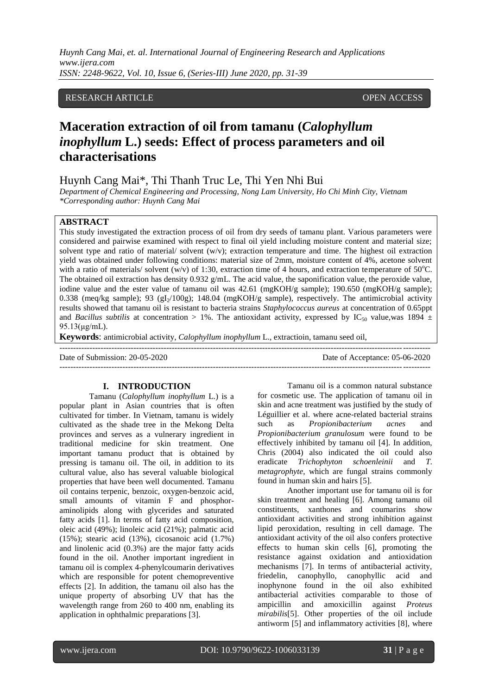*Huynh Cang Mai, et. al. International Journal of Engineering Research and Applications www.ijera.com ISSN: 2248-9622, Vol. 10, Issue 6, (Series-III) June 2020, pp. 31-39*

## RESEARCH ARTICLE **CONSERVERS** OPEN ACCESS

# **Maceration extraction of oil from tamanu (***Calophyllum inophyllum* **L.) seeds: Effect of process parameters and oil characterisations**

Huynh Cang Mai\*, Thi Thanh Truc Le, Thi Yen Nhi Bui

*Department of Chemical Engineering and Processing, Nong Lam University, Ho Chi Minh City, Vietnam \*Corresponding author: Huynh Cang Mai* 

#### **ABSTRACT**

This study investigated the extraction process of oil from dry seeds of tamanu plant. Various parameters were considered and pairwise examined with respect to final oil yield including moisture content and material size; solvent type and ratio of material/ solvent (w/v); extraction temperature and time. The highest oil extraction yield was obtained under following conditions: material size of 2mm, moisture content of 4%, acetone solvent with a ratio of materials/ solvent (w/v) of 1:30, extraction time of 4 hours, and extraction temperature of  $50^{\circ}$ C. The obtained oil extraction has density 0.932 g/mL. The acid value, the saponification value, the peroxide value, iodine value and the ester value of tamanu oil was 42.61 (mgKOH/g sample); 190.650 (mgKOH/g sample); 0.338 (meq/kg sample); 93 (gI<sub>2</sub>/100g); 148.04 (mgKOH/g sample), respectively. The antimicrobial activity results showed that tamanu oil is resistant to bacteria strains *Staphylococcus aureus* at concentration of 0.65ppt and *Bacillus subtilis* at concentration > 1%. The antioxidant activity, expressed by IC<sub>50</sub> value, was 1894  $\pm$ 95.13(μg/mL).

---------------------------------------------------------------------------------------------------------------------------------------

**Keywords**: antimicrobial activity, *Calophyllum inophyllum* L., extractioin, tamanu seed oil,

Date of Submission: 20-05-2020 Date of Acceptance: 05-06-2020

---------------------------------------------------------------------------------------------------------------------------------------

#### **I. INTRODUCTION**

Tamanu (*Calophyllum inophyllum* L.) is a popular plant in Asian countries that is often cultivated for timber. In Vietnam, tamanu is widely cultivated as the shade tree in the Mekong Delta provinces and serves as a vulnerary ingredient in traditional medicine for skin treatment. One important tamanu product that is obtained by pressing is tamanu oil. The oil, in addition to its cultural value, also has several valuable biological properties that have been well documented. Tamanu oil contains terpenic, benzoic, oxygen-benzoic acid, small amounts of vitamin F and phosphoraminolipids along with glycerides and saturated fatty acids [1]. In terms of fatty acid composition, oleic acid (49%); linoleic acid (21%); palmatic acid (15%); stearic acid (13%), cicosanoic acid (1.7%) and linolenic acid (0.3%) are the major fatty acids found in the oil. Another important ingredient in tamanu oil is complex 4-phenylcoumarin derivatives which are responsible for potent chemopreventive effects [2]. In addition, the tamanu oil also has the unique property of absorbing UV that has the wavelength range from 260 to 400 nm, enabling its application in ophthalmic preparations [3].

Tamanu oil is a common natural substance for cosmetic use. The application of tamanu oil in skin and acne treatment was justified by the study of Léguillier et al. where acne-related bacterial strains such as *Propionibacterium acnes* and *Propionibacterium granulosum* were found to be effectively inhibited by tamanu oil [4]. In addition, Chris (2004) also indicated the oil could also eradicate *Trichophyton schoenleinii* and *T. metagrophyte*, which are fungal strains commonly found in human skin and hairs [5].

Another important use for tamanu oil is for skin treatment and healing [6]. Among tamanu oil constituents, xanthones and coumarins show antioxidant activities and strong inhibition against lipid peroxidation, resulting in cell damage. The antioxidant activity of the oil also confers protective effects to human skin cells [6], promoting the resistance against oxidation and antioxidation mechanisms [7]. In terms of antibacterial activity, friedelin, canophyllo, canophyllic acid and inophynone found in the oil also exhibited antibacterial activities comparable to those of ampicillin and amoxicillin against *Proteus mirabilis*[5]. Other properties of the oil include antiworm [5] and inflammatory activities [8], where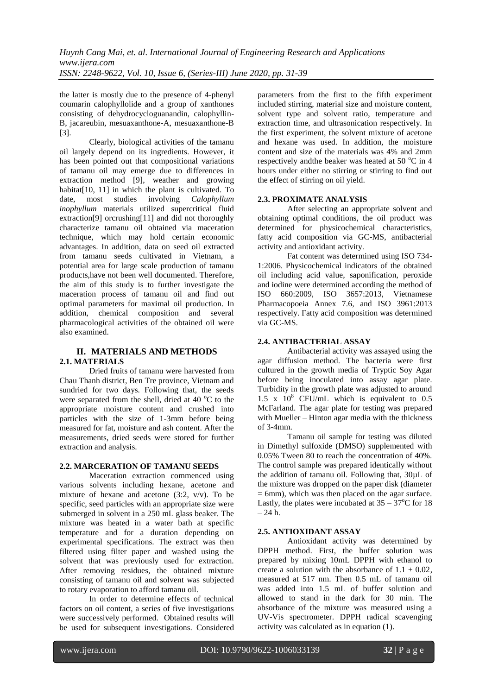the latter is mostly due to the presence of 4-phenyl coumarin calophyllolide and a group of xanthones consisting of dehydrocycloguanandin, calophyllin-B, jacareubin, mesuaxanthone-A, mesuaxanthone-B [3].

Clearly, biological activities of the tamanu oil largely depend on its ingredients. However, it has been pointed out that compositional variations of tamanu oil may emerge due to differences in extraction method [9], weather and growing habitat $[10, 11]$  in which the plant is cultivated. To date, most studies involving *Calophyllum inophyllum* materials utilized supercritical fluid extraction<sup>[9]</sup> orcrushing<sup>[11]</sup> and did not thoroughly characterize tamanu oil obtained via maceration technique, which may hold certain economic advantages. In addition, data on seed oil extracted from tamanu seeds cultivated in Vietnam, a potential area for large scale production of tamanu products,have not been well documented. Therefore, the aim of this study is to further investigate the maceration process of tamanu oil and find out optimal parameters for maximal oil production. In addition, chemical composition and several pharmacological activities of the obtained oil were also examined.

# **II. MATERIALS AND METHODS 2.1. MATERIALS**

Dried fruits of tamanu were harvested from Chau Thanh district, Ben Tre province, Vietnam and sundried for two days. Following that, the seeds were separated from the shell, dried at 40 $\degree$ C to the appropriate moisture content and crushed into particles with the size of 1-3mm before being measured for fat, moisture and ash content. After the measurements, dried seeds were stored for further extraction and analysis.

#### **2.2. MARCERATION OF TAMANU SEEDS**

Maceration extraction commenced using various solvents including hexane, acetone and mixture of hexane and acetone (3:2, v/v). To be specific, seed particles with an appropriate size were submerged in solvent in a 250 mL glass beaker. The mixture was heated in a water bath at specific temperature and for a duration depending on experimental specifications. The extract was then filtered using filter paper and washed using the solvent that was previously used for extraction. After removing residues, the obtained mixture consisting of tamanu oil and solvent was subjected to rotary evaporation to afford tamanu oil.

In order to determine effects of technical factors on oil content, a series of five investigations were successively performed. Obtained results will be used for subsequent investigations. Considered parameters from the first to the fifth experiment included stirring, material size and moisture content, solvent type and solvent ratio, temperature and extraction time, and ultrasonication respectively. In the first experiment, the solvent mixture of acetone and hexane was used. In addition, the moisture content and size of the materials was 4% and 2mm respectively andthe beaker was heated at 50  $^{\circ}$ C in 4 hours under either no stirring or stirring to find out the effect of stirring on oil yield.

## **2.3. PROXIMATE ANALYSIS**

After selecting an appropriate solvent and obtaining optimal conditions, the oil product was determined for physicochemical characteristics, fatty acid composition via GC-MS, antibacterial activity and antioxidant activity.

Fat content was determined using ISO 734- 1:2006. Physicochemical indicators of the obtained oil including acid value, saponification, peroxide and iodine were determined according the method of ISO 660:2009, ISO 3657:2013, Vietnamese Pharmacopoeia Annex 7.6, and ISO 3961:2013 respectively. Fatty acid composition was determined via GC-MS.

# **2.4. ANTIBACTERIAL ASSAY**

Antibacterial activity was assayed using the agar diffusion method. The bacteria were first cultured in the growth media of Tryptic Soy Agar before being inoculated into assay agar plate. Turbidity in the growth plate was adjusted to around 1.5 x  $10^8$  CFU/mL which is equivalent to 0.5 McFarland. The agar plate for testing was prepared with Mueller – Hinton agar media with the thickness of 3-4mm.

Tamanu oil sample for testing was diluted in Dimethyl sulfoxide (DMSO) supplemented with 0.05% Tween 80 to reach the concentration of 40%. The control sample was prepared identically without the addition of tamanu oil. Following that, 30µL of the mixture was dropped on the paper disk (diameter  $= 6$ mm), which was then placed on the agar surface. Lastly, the plates were incubated at  $35 - 37^{\circ}$ C for 18  $-24 h$ .

# **2.5. ANTIOXIDANT ASSAY**

Antioxidant activity was determined by DPPH method. First, the buffer solution was prepared by mixing 10mL DPPH with ethanol to create a solution with the absorbance of  $1.1 \pm 0.02$ , measured at 517 nm. Then 0.5 mL of tamanu oil was added into 1.5 mL of buffer solution and allowed to stand in the dark for 30 min. The absorbance of the mixture was measured using a UV-Vis spectrometer. DPPH radical scavenging activity was calculated as in equation (1).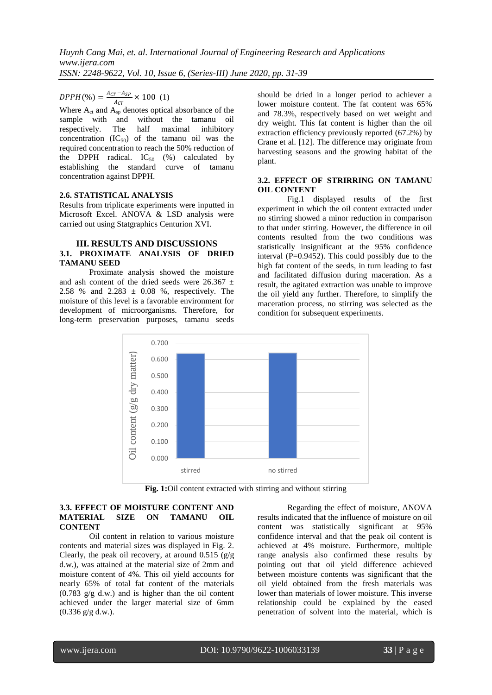$DPPH(\%) = \frac{A_{CT} - A_{SP}}{4}$  $\frac{F^{-}Asp}{A_{CT}} \times 100$  (1)

Where  $A_{ct}$  and  $A_{sp}$  denotes optical absorbance of the sample with and without the tamanu oil respectively. The half maximal inhibitory concentration  $(IC_{50})$  of the tamanu oil was the required concentration to reach the 50% reduction of the DPPH radical.  $IC_{50}$  (%) calculated by establishing the standard curve of tamanu concentration against DPPH.

#### **2.6. STATISTICAL ANALYSIS**

Results from triplicate experiments were inputted in Microsoft Excel. ANOVA & LSD analysis were carried out using Statgraphics Centurion XVI.

#### **III. RESULTS AND DISCUSSIONS 3.1. PROXIMATE ANALYSIS OF DRIED TAMANU SEED**

Proximate analysis showed the moisture and ash content of the dried seeds were  $26.367 \pm$ 2.58 % and 2.283  $\pm$  0.08 %, respectively. The moisture of this level is a favorable environment for development of microorganisms. Therefore, for long-term preservation purposes, tamanu seeds should be dried in a longer period to achiever a lower moisture content. The fat content was 65% and 78.3%, respectively based on wet weight and dry weight. This fat content is higher than the oil extraction efficiency previously reported (67.2%) by Crane et al. [12]. The difference may originate from harvesting seasons and the growing habitat of the plant.

#### **3.2. EFFECT OF STRIRRING ON TAMANU OIL CONTENT**

Fig.1 displayed results of the first experiment in which the oil content extracted under no stirring showed a minor reduction in comparison to that under stirring. However, the difference in oil contents resulted from the two conditions was statistically insignificant at the 95% confidence interval  $(P=0.9452)$ . This could possibly due to the high fat content of the seeds, in turn leading to fast and facilitated diffusion during maceration. As a result, the agitated extraction was unable to improve the oil yield any further. Therefore, to simplify the maceration process, no stirring was selected as the condition for subsequent experiments.



**Fig. 1:**Oil content extracted with stirring and without stirring

#### **3.3. EFFECT OF MOISTURE CONTENT AND MATERIAL SIZE ON TAMANU OIL CONTENT**

Oil content in relation to various moisture contents and material sizes was displayed in Fig. 2. Clearly, the peak oil recovery, at around  $0.515$  (g/g d.w.), was attained at the material size of 2mm and moisture content of 4%. This oil yield accounts for nearly 65% of total fat content of the materials  $(0.783 \text{ g/g d.w.})$  and is higher than the oil content achieved under the larger material size of 6mm (0.336 g/g d.w.).

Regarding the effect of moisture, ANOVA results indicated that the influence of moisture on oil content was statistically significant at 95% confidence interval and that the peak oil content is achieved at 4% moisture. Furthermore, multiple range analysis also confirmed these results by pointing out that oil yield difference achieved between moisture contents was significant that the oil yield obtained from the fresh materials was lower than materials of lower moisture. This inverse relationship could be explained by the eased penetration of solvent into the material, which is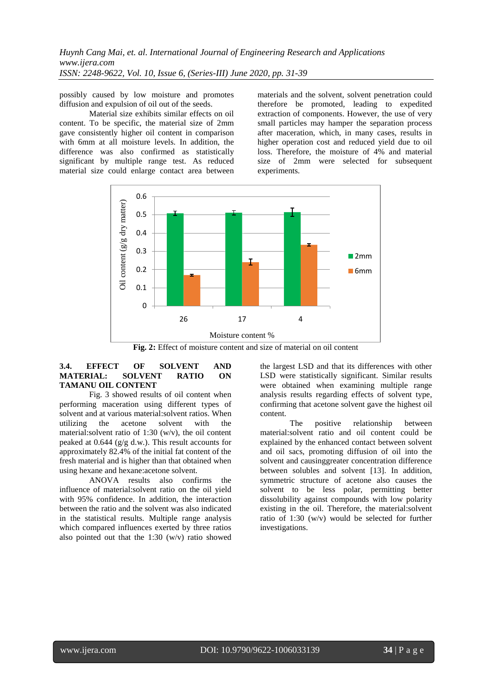*Huynh Cang Mai, et. al. International Journal of Engineering Research and Applications www.ijera.com ISSN: 2248-9622, Vol. 10, Issue 6, (Series-III) June 2020, pp. 31-39*

possibly caused by low moisture and promotes diffusion and expulsion of oil out of the seeds.

Material size exhibits similar effects on oil content. To be specific, the material size of 2mm gave consistently higher oil content in comparison with 6mm at all moisture levels. In addition, the difference was also confirmed as statistically significant by multiple range test. As reduced material size could enlarge contact area between materials and the solvent, solvent penetration could therefore be promoted, leading to expedited extraction of components. However, the use of very small particles may hamper the separation process after maceration, which, in many cases, results in higher operation cost and reduced yield due to oil loss. Therefore, the moisture of 4% and material size of 2mm were selected for subsequent experiments.



**Fig. 2:** Effect of moisture content and size of material on oil content

## **3.4. EFFECT OF SOLVENT AND MATERIAL: SOLVENT RATIO ON TAMANU OIL CONTENT**

Fig. 3 showed results of oil content when performing maceration using different types of solvent and at various material:solvent ratios. When utilizing the acetone solvent with the material:solvent ratio of 1:30 (w/v), the oil content peaked at 0.644 (g/g d.w.). This result accounts for approximately 82.4% of the initial fat content of the fresh material and is higher than that obtained when using hexane and hexane:acetone solvent.

ANOVA results also confirms the influence of material:solvent ratio on the oil yield with 95% confidence. In addition, the interaction between the ratio and the solvent was also indicated in the statistical results. Multiple range analysis which compared influences exerted by three ratios also pointed out that the 1:30 (w/v) ratio showed

the largest LSD and that its differences with other LSD were statistically significant. Similar results were obtained when examining multiple range analysis results regarding effects of solvent type, confirming that acetone solvent gave the highest oil content.

The positive relationship between material:solvent ratio and oil content could be explained by the enhanced contact between solvent and oil sacs, promoting diffusion of oil into the solvent and causinggreater concentration difference between solubles and solvent [13]. In addition, symmetric structure of acetone also causes the solvent to be less polar, permitting better dissolubility against compounds with low polarity existing in the oil. Therefore, the material:solvent ratio of 1:30 (w/v) would be selected for further investigations.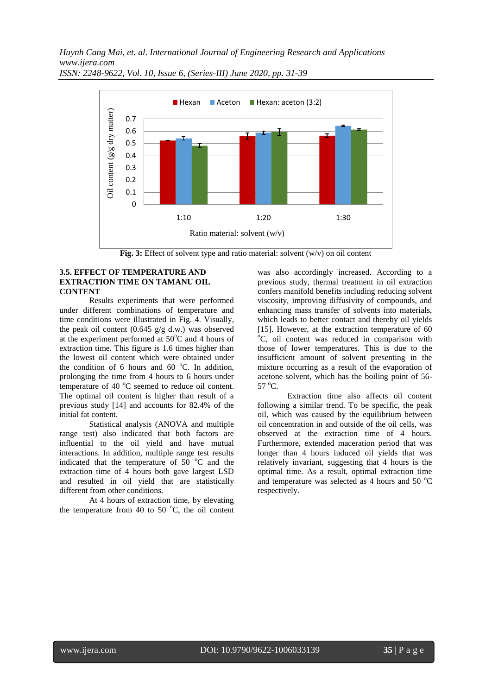*Huynh Cang Mai, et. al. International Journal of Engineering Research and Applications www.ijera.com*



*ISSN: 2248-9622, Vol. 10, Issue 6, (Series-III) June 2020, pp. 31-39*

**Fig. 3:** Effect of solvent type and ratio material: solvent (w/v) on oil content

#### **3.5. EFFECT OF TEMPERATURE AND EXTRACTION TIME ON TAMANU OIL CONTENT**

Results experiments that were performed under different combinations of temperature and time conditions were illustrated in Fig. 4. Visually, the peak oil content  $(0.645 \text{ g/g d.w.})$  was observed at the experiment performed at 50°C and 4 hours of extraction time. This figure is 1.6 times higher than the lowest oil content which were obtained under the condition of 6 hours and 60  $^{\circ}$ C. In addition, prolonging the time from 4 hours to 6 hours under temperature of 40  $^{\circ}$ C seemed to reduce oil content. The optimal oil content is higher than result of a previous study [14] and accounts for 82.4% of the initial fat content.

Statistical analysis (ANOVA and multiple range test) also indicated that both factors are influential to the oil yield and have mutual interactions. In addition, multiple range test results indicated that the temperature of  $50^{\circ}$ C and the extraction time of 4 hours both gave largest LSD and resulted in oil yield that are statistically different from other conditions.

At 4 hours of extraction time, by elevating the temperature from 40 to 50 $\degree$ C, the oil content was also accordingly increased. According to a previous study, thermal treatment in oil extraction confers manifold benefits including reducing solvent viscosity, improving diffusivity of compounds, and enhancing mass transfer of solvents into materials, which leads to better contact and thereby oil yields [15]. However, at the extraction temperature of 60 <sup>o</sup>C, oil content was reduced in comparison with those of lower temperatures. This is due to the insufficient amount of solvent presenting in the mixture occurring as a result of the evaporation of acetone solvent, which has the boiling point of 56-  $57^{\circ}$ C.

Extraction time also affects oil content following a similar trend. To be specific, the peak oil, which was caused by the equilibrium between oil concentration in and outside of the oil cells, was observed at the extraction time of 4 hours. Furthermore, extended maceration period that was longer than 4 hours induced oil yields that was relatively invariant, suggesting that 4 hours is the optimal time. As a result, optimal extraction time and temperature was selected as 4 hours and 50  $^{\circ}$ C respectively.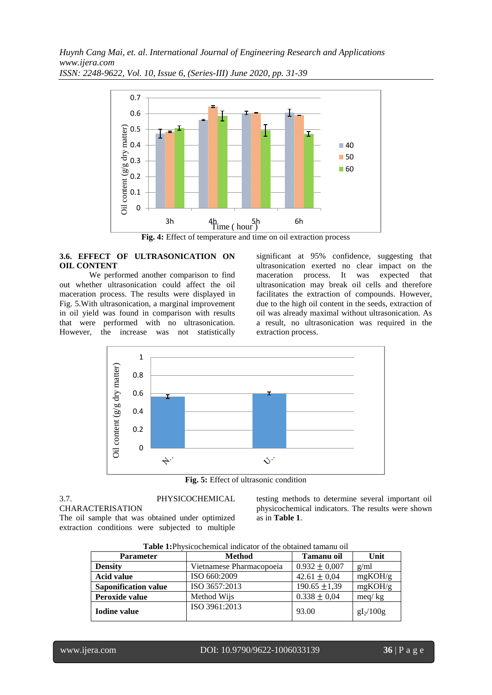*Huynh Cang Mai, et. al. International Journal of Engineering Research and Applications www.ijera.com ISSN: 2248-9622, Vol. 10, Issue 6, (Series-III) June 2020, pp. 31-39*



**Fig. 4:** Effect of temperature and time on oil extraction process

# **3.6. EFFECT OF ULTRASONICATION ON OIL CONTENT**

We performed another comparison to find out whether ultrasonication could affect the oil maceration process. The results were displayed in Fig. 5.With ultrasonication, a marginal improvement in oil yield was found in comparison with results that were performed with no ultrasonication. However, the increase was not statistically significant at 95% confidence, suggesting that ultrasonication exerted no clear impact on the maceration process. It was expected that ultrasonication may break oil cells and therefore facilitates the extraction of compounds. However, due to the high oil content in the seeds, extraction of oil was already maximal without ultrasonication. As a result, no ultrasonication was required in the extraction process.



**Fig. 5:** Effect of ultrasonic condition

#### 3.7. PHYSICOCHEMICAL CHARACTERISATION The oil sample that was obtained under optimized extraction conditions were subjected to multiple

testing methods to determine several important oil physicochemical indicators. The results were shown as in **Table 1**.

| <b>Parameter</b>            | <b>Method</b>            | Tamanu oil        | Unit        |
|-----------------------------|--------------------------|-------------------|-------------|
| <b>Density</b>              | Vietnamese Pharmacopoeia | $0.932 \pm 0.007$ | g/ml        |
| <b>Acid value</b>           | ISO 660:2009             | $42.61 \pm 0.04$  | mgKOH/g     |
| <b>Saponification value</b> | ISO 3657:2013            | $190.65 \pm 1.39$ | mgKOH/g     |
| Peroxide value              | Method Wijs              | $0.338 \pm 0.04$  | meq/kg      |
| <b>Iodine value</b>         | ISO 3961:2013            | 93.00             | $gI_2/100g$ |

**Table 1:**Physicochemical indicator of the obtained tamanu oil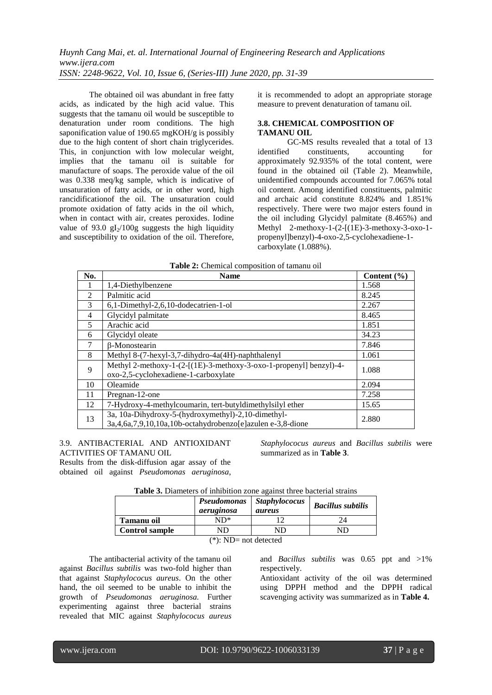The obtained oil was abundant in free fatty acids, as indicated by the high acid value. This suggests that the tamanu oil would be susceptible to denaturation under room conditions. The high saponification value of 190.65 mgKOH/g is possibly due to the high content of short chain triglycerides. This, in conjunction with low molecular weight, implies that the tamanu oil is suitable for manufacture of soaps. The peroxide value of the oil was 0.338 meq/kg sample, which is indicative of unsaturation of fatty acids, or in other word, high rancidificationof the oil. The unsaturation could promote oxidation of fatty acids in the oil which, when in contact with air, creates peroxides. Iodine value of 93.0  $gI_2/100g$  suggests the high liquidity and susceptibility to oxidation of the oil. Therefore, it is recommended to adopt an appropriate storage measure to prevent denaturation of tamanu oil.

## **3.8. CHEMICAL COMPOSITION OF TAMANU OIL**

GC-MS results revealed that a total of 13<br>d constituents, accounting for identified constituents, accounting for approximately 92.935% of the total content, were found in the obtained oil (Table 2). Meanwhile, unidentified compounds accounted for 7.065% total oil content. Among identified constituents, palmitic and archaic acid constitute 8.824% and 1.851% respectively. There were two major esters found in the oil including Glycidyl palmitate (8.465%) and Methyl 2-methoxy-1-(2-[(1E)-3-methoxy-3-oxo-1 propenyl]benzyl)-4-oxo-2,5-cyclohexadiene-1 carboxylate (1.088%).

| No.            | <b>Name</b>                                                                                                                | Content $(\% )$ |
|----------------|----------------------------------------------------------------------------------------------------------------------------|-----------------|
| 1              | 1,4-Diethylbenzene                                                                                                         | 1.568           |
| $\mathfrak{D}$ | Palmitic acid                                                                                                              | 8.245           |
| 3              | 6,1-Dimethyl-2,6,10-dodecatrien-1-ol                                                                                       | 2.267           |
| 4              | Glycidyl palmitate                                                                                                         | 8.465           |
| 5              | Arachic acid                                                                                                               | 1.851           |
| 6              | Glycidyl oleate                                                                                                            | 34.23           |
| 7              | <b>B-Monostearin</b>                                                                                                       | 7.846           |
| 8              | Methyl 8-(7-hexyl-3,7-dihydro-4a(4H)-naphthalenyl                                                                          | 1.061           |
| 9              | Methyl 2-methoxy-1-(2-[(1E)-3-methoxy-3-oxo-1-propenyl] benzyl)-4-                                                         | 1.088           |
|                | oxo-2,5-cyclohexadiene-1-carboxylate                                                                                       |                 |
| 10             | Oleamide                                                                                                                   | 2.094           |
| 11             | Pregnan-12-one                                                                                                             | 7.258           |
| 12             | 7-Hydroxy-4-methylcoumarin, tert-butyldimethylsilyl ether                                                                  | 15.65           |
| 13             | 3a, 10a-Dihydroxy-5-(hydroxymethyl)-2,10-dimethyl-<br>3a, 4, 6a, 7, 9, 10, 10a, 10b-octahydrobenzo [e] azulen e-3, 8-dione | 2.880           |

**Table 2:** Chemical composition of tamanu oil

3.9. ANTIBACTERIAL AND ANTIOXIDANT ACTIVITIES OF TAMANU OIL

Results from the disk-diffusion agar assay of the obtained oil against *Pseudomonas aeruginosa*, *Staphylococus aureus* and *Bacillus subtilis* were summarized as in **Table 3**.

|                       | Pseudomonas<br>aeruginosa | <b>Staphylococus</b><br>aureus | <b>Bacillus subtilis</b> |
|-----------------------|---------------------------|--------------------------------|--------------------------|
| Tamanu oil            | ND*                       |                                |                          |
| <b>Control sample</b> | ND                        | ND                             | ND                       |
|                       | $2.1.5 \pm 2.7$           | .                              |                          |

(\*): ND= not detected

The antibacterial activity of the tamanu oil against *Bacillus subtilis* was two-fold higher than that against *Staphylococus aureus*. On the other hand, the oil seemed to be unable to inhibit the growth of *Pseudomonas aeruginosa.* Further experimenting against three bacterial strains revealed that MIC against *Staphylococus aureus* 

and *Bacillus subtilis* was 0.65 ppt and >1% respectively.

Antioxidant activity of the oil was determined using DPPH method and the DPPH radical scavenging activity was summarized as in **Table 4.**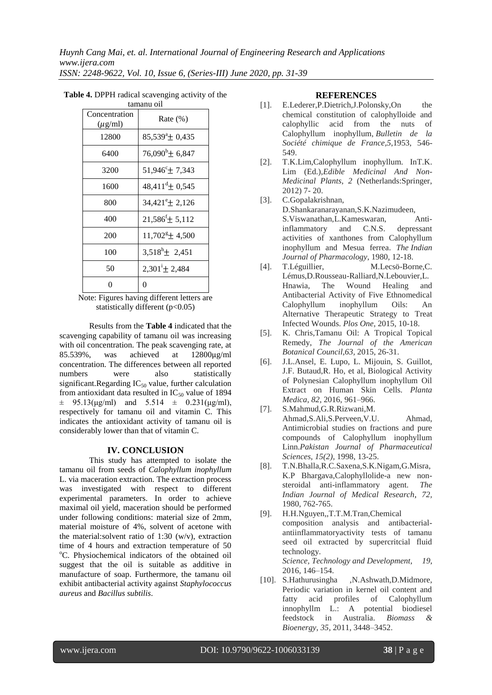| Concentration<br>$(\mu g/ml)$ | Rate $(\%)$                       |
|-------------------------------|-----------------------------------|
| 12800                         | $85,539^{\circ}$ ± 0,435          |
| 6400                          | $76,090^{\rm b}$ ± 6,847          |
| 3200                          | $51,946^{\circ}$ ± 7,343          |
| 1600                          | $48,411^{\text{d}}$ ± 0.545       |
| 800                           | $34,421^{\circ}$ ± 2,126          |
| 400                           | $21,586^{\text{f}}$ ± 5,112       |
| 200                           | $11,702$ <sup>g</sup> $\pm$ 4,500 |
| 100                           | $3,518^h \pm 2,451$               |
| 50                            | $2,301^{\rm i}$ ± 2,484           |
| 0                             | 0                                 |

**Table 4.** DPPH radical scavenging activity of the tamanu oil

Note: Figures having different letters are statistically different (p<0.05)

Results from the **Table 4** indicated that the scavenging capability of tamanu oil was increasing with oil concentration. The peak scavenging rate, at 85.539%, was achieved at 12800μg/ml concentration. The differences between all reported numbers were also statistically significant.Regarding  $IC_{50}$  value, further calculation from antioxidant data resulted in  $IC_{50}$  value of 1894  $\pm$  95.13(μg/ml) and 5.514  $\pm$  0.231(μg/ml), respectively for tamanu oil and vitamin C. This indicates the antioxidant activity of tamanu oil is considerably lower than that of vitamin C.

#### **IV. CONCLUSION**

This study has attempted to isolate the tamanu oil from seeds of *Calophyllum inophyllum* L. via maceration extraction. The extraction process was investigated with respect to different experimental parameters. In order to achieve maximal oil yield, maceration should be performed under following conditions: material size of 2mm, material moisture of 4%, solvent of acetone with the material:solvent ratio of 1:30 (w/v), extraction time of 4 hours and extraction temperature of 50 <sup>o</sup>C. Physiochemical indicators of the obtained oil suggest that the oil is suitable as additive in manufacture of soap. Furthermore, the tamanu oil exhibit antibacterial activity against *Staphylococcus aureus* and *Bacillus subtilis*.

#### **REFERENCES**

- [1]. E.Lederer, P.Dietrich, J.Polonsky, On the chemical constitution of calophylloide and calophyllic acid from the nuts of Calophyllum inophyllum, *Bulletin de la Société chimique de France,5*,1953, 546- 549.
- [2]. T.K.Lim,Calophyllum inophyllum. InT.K. Lim (Ed.),*Edible Medicinal And Non-Medicinal Plants*, *2* (Netherlands:Springer, 2012) 7- 20.
- [3]. C.Gopalakrishnan, D.Shankaranarayanan,S.K.Nazimudeen, S.Viswanathan,L.Kameswaran, Antiinflammatory and C.N.S. depressant activities of xanthones from Calophyllum inophyllum and Mesua ferrea. *The Indian Journal of Pharmacology*, 1980, 12-18.
- [4]. T.Léguillier, M.Lecsö-Borne,C. Lémus,D.Rousseau-Ralliard,N.Lebouvier,L. Hnawia, The Wound Healing and Antibacterial Activity of Five Ethnomedical Calophyllum inophyllum Oils: An Alternative Therapeutic Strategy to Treat Infected Wounds. *Plos One*, 2015, 10-18.
- [5]. K. Chris,Tamanu Oil: A Tropical Topical Remedy, *The Journal of the American Botanical Council*,*63,* 2015, 26-31.
- [6]. J.L.Ansel, E. Lupo, L. Mijouin, S. Guillot, J.F. Butaud,R. Ho, et al, Biological Activity of Polynesian Calophyllum inophyllum Oil Extract on Human Skin Cells*. Planta Medica*, *82*, 2016, 961–966.
- [7]. S.Mahmud,G.R.Rizwani,M. Ahmad,S.Ali,S.Perveen,V.U. Ahmad, Antimicrobial studies on fractions and pure compounds of Calophyllum inophyllum Linn.*Pakistan Journal of Pharmaceutical Sciences*, *15(2)*, 1998, 13-25.
- [8]. T.N.Bhalla,R.C.Saxena,S.K.Nigam,G.Misra, K.P Bhargava,Calophyllolide-a new nonsteroidal anti-inflammatory agent. *The Indian Journal of Medical Research, 72,* 1980, 762-765.
- [9]. H.H.Nguyen,,T.T.M.Tran,Chemical composition analysis and antibacterialantiinflammatoryactivity tests of tamanu seed oil extracted by supercritcial fluid technology. *Science, Technology and Development*, *19*, 2016, 146–154.
- [10]. S.Hathurusingha ,N.Ashwath,D.Midmore, Periodic variation in kernel oil content and fatty acid profiles of Calophyllum innophyllm L.: A potential biodiesel feedstock in Australia. *Biomass & Bioenergy*, *35*, 2011, 3448–3452.